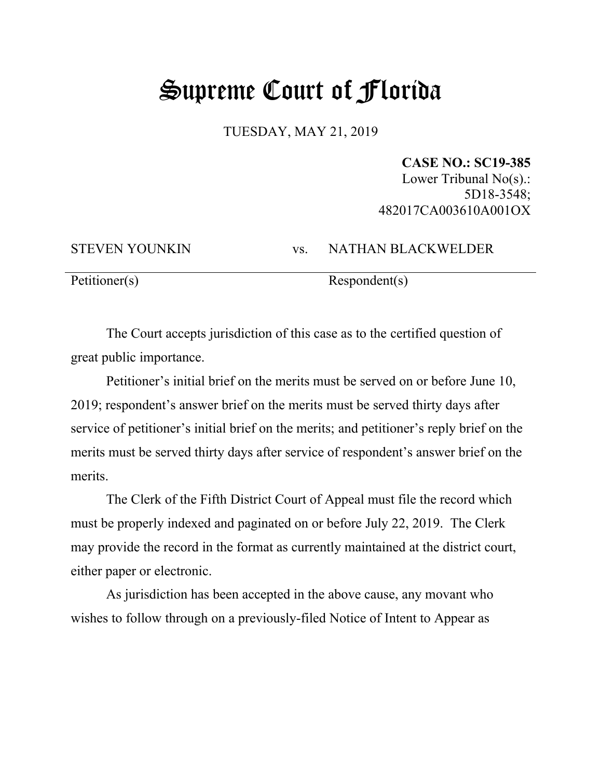## Supreme Court of Florida

TUESDAY, MAY 21, 2019

## **CASE NO.: SC19-385**

Lower Tribunal No(s).: 5D18-3548; 482017CA003610A001OX

STEVEN YOUNKIN vs. NATHAN BLACKWELDER

Petitioner(s) Respondent(s)

The Court accepts jurisdiction of this case as to the certified question of great public importance.

Petitioner's initial brief on the merits must be served on or before June 10, 2019; respondent's answer brief on the merits must be served thirty days after service of petitioner's initial brief on the merits; and petitioner's reply brief on the merits must be served thirty days after service of respondent's answer brief on the merits.

The Clerk of the Fifth District Court of Appeal must file the record which must be properly indexed and paginated on or before July 22, 2019. The Clerk may provide the record in the format as currently maintained at the district court, either paper or electronic.

As jurisdiction has been accepted in the above cause, any movant who wishes to follow through on a previously-filed Notice of Intent to Appear as